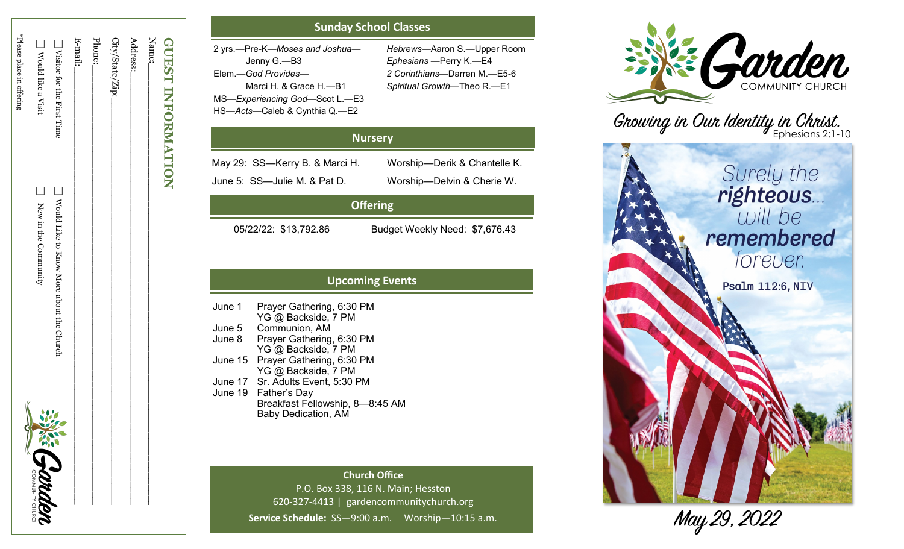| <b>GUEST INFORMATION</b>     |                                          |              |
|------------------------------|------------------------------------------|--------------|
| Name:                        |                                          |              |
| Address:                     |                                          |              |
| City/State/Zip:_             |                                          |              |
| Phone:                       |                                          |              |
| E-mail:                      |                                          |              |
| □ Visitor for the First Time | Nould Like to Know More about the Church |              |
| Nould like a Visit           | New in the Community                     | NEE Crotaden |
| *Please place in offering    |                                          | ς            |
|                              |                                          |              |

# **Sunday School Classes**

| 2 yrs.—Pre-K—Moses and Joshua— | Hebrews-Aaron     |
|--------------------------------|-------------------|
| Jenny G.—B3                    | Ephesians - Peri  |
| Elem.—God Provides—            | 2 Corinthians-D   |
| Marci H. & Grace H.-B1         | Spiritual Growth- |
| MS-Experiencing God-Scot L.-E3 |                   |
| HS-Acts-Caleb & Cynthia Q.-E2  |                   |

—Aaron S. —Upper Room —Perry K. —E4 —Darren M. —E5 - 6 —Theo R. —E1

| <b>Nursery</b>                 |                              |  |
|--------------------------------|------------------------------|--|
| May 29: SS—Kerry B. & Marci H. | Worship-Derik & Chantelle K. |  |
| June 5: SS-Julie M. & Pat D.   | Worship-Delvin & Cherie W.   |  |
|                                |                              |  |

# **Offering**

05/22/22: \$13,792.86 Budget Weekly Need: \$7,676.43

# **Upcoming Events**

| June 1  | Prayer Gathering, 6:30 PM         |
|---------|-----------------------------------|
|         | YG @ Backside, 7 PM               |
| June 5  | Communion, AM                     |
| June 8  | Prayer Gathering, 6:30 PM         |
|         | YG @ Backside, 7 PM               |
| June 15 | Prayer Gathering, 6:30 PM         |
|         | YG @ Backside, 7 PM               |
|         | June 17 Sr. Adults Event, 5:30 PM |
|         | June 19 Father's Day              |
|         | Breakfast Fellowship, 8-8:45 AM   |
|         | <b>Baby Dedication, AM</b>        |

**Church Office** P.O. Box 338, 116 N. Main; Hesston 620 -327 -4413 | gardencommunitychurch.org Service Schedule: SS-9:00 a.m. Worship-10:15 a.m.



Growing in Our Identity in Christ.



May 29, 2022